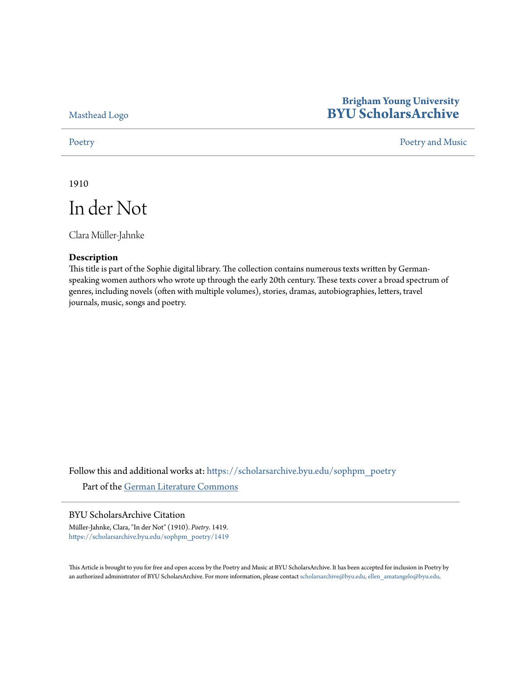[Masthead Logo](http://home.byu.edu/home/?utm_source=scholarsarchive.byu.edu%2Fsophpm_poetry%2F1419&utm_medium=PDF&utm_campaign=PDFCoverPages)

## **Brigham Young University [BYU ScholarsArchive](https://scholarsarchive.byu.edu?utm_source=scholarsarchive.byu.edu%2Fsophpm_poetry%2F1419&utm_medium=PDF&utm_campaign=PDFCoverPages)**

[Poetry](https://scholarsarchive.byu.edu/sophpm_poetry?utm_source=scholarsarchive.byu.edu%2Fsophpm_poetry%2F1419&utm_medium=PDF&utm_campaign=PDFCoverPages) and Music [Poetry and Music](https://scholarsarchive.byu.edu/sophpm?utm_source=scholarsarchive.byu.edu%2Fsophpm_poetry%2F1419&utm_medium=PDF&utm_campaign=PDFCoverPages) Poetry and Music Poetry and Music Poetry and Music Poetry and Music Poetry and Music Poetry and Music Poetry and Music Poetry and Music Poetry and Music Poetry and Music Poetry and Music P

1910

In der Not

Clara Müller-Jahnke

### **Description**

This title is part of the Sophie digital library. The collection contains numerous texts written by Germanspeaking women authors who wrote up through the early 20th century. These texts cover a broad spectrum of genres, including novels (often with multiple volumes), stories, dramas, autobiographies, letters, travel journals, music, songs and poetry.

Follow this and additional works at: [https://scholarsarchive.byu.edu/sophpm\\_poetry](https://scholarsarchive.byu.edu/sophpm_poetry?utm_source=scholarsarchive.byu.edu%2Fsophpm_poetry%2F1419&utm_medium=PDF&utm_campaign=PDFCoverPages) Part of the [German Literature Commons](http://network.bepress.com/hgg/discipline/469?utm_source=scholarsarchive.byu.edu%2Fsophpm_poetry%2F1419&utm_medium=PDF&utm_campaign=PDFCoverPages)

## BYU ScholarsArchive Citation

Müller-Jahnke, Clara, "In der Not" (1910). *Poetry*. 1419. [https://scholarsarchive.byu.edu/sophpm\\_poetry/1419](https://scholarsarchive.byu.edu/sophpm_poetry/1419?utm_source=scholarsarchive.byu.edu%2Fsophpm_poetry%2F1419&utm_medium=PDF&utm_campaign=PDFCoverPages)

This Article is brought to you for free and open access by the Poetry and Music at BYU ScholarsArchive. It has been accepted for inclusion in Poetry by an authorized administrator of BYU ScholarsArchive. For more information, please contact [scholarsarchive@byu.edu, ellen\\_amatangelo@byu.edu](mailto:scholarsarchive@byu.edu,%20ellen_amatangelo@byu.edu).